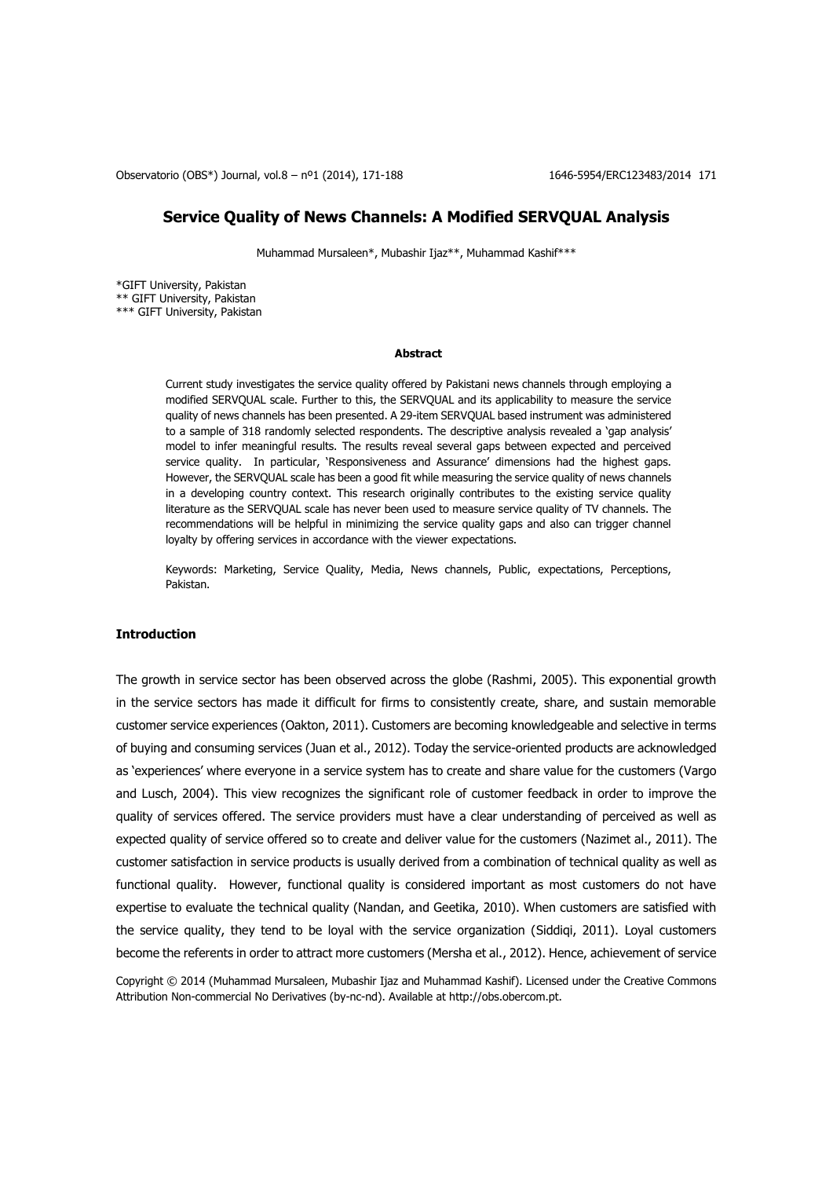Observatorio (OBS\*) Journal, vol.8 – nº1 (2014), 171-188 1646-5954/ERC123483/2014 171

## **Service Quality of News Channels: A Modified SERVQUAL Analysis**

Muhammad Mursaleen\*, Mubashir Ijaz\*\*, Muhammad Kashif\*\*\*

\*GIFT University, Pakistan \*\* GIFT University, Pakistan \*\*\* GIFT University, Pakistan

### **Abstract**

Current study investigates the service quality offered by Pakistani news channels through employing a modified SERVQUAL scale. Further to this, the SERVQUAL and its applicability to measure the service quality of news channels has been presented. A 29-item SERVQUAL based instrument was administered to a sample of 318 randomly selected respondents. The descriptive analysis revealed a 'gap analysis' model to infer meaningful results. The results reveal several gaps between expected and perceived service quality. In particular, 'Responsiveness and Assurance' dimensions had the highest gaps. However, the SERVQUAL scale has been a good fit while measuring the service quality of news channels in a developing country context. This research originally contributes to the existing service quality literature as the SERVQUAL scale has never been used to measure service quality of TV channels. The recommendations will be helpful in minimizing the service quality gaps and also can trigger channel loyalty by offering services in accordance with the viewer expectations.

Keywords: Marketing, Service Quality, Media, News channels, Public, expectations, Perceptions, Pakistan.

## **Introduction**

The growth in service sector has been observed across the globe (Rashmi, 2005). This exponential growth in the service sectors has made it difficult for firms to consistently create, share, and sustain memorable customer service experiences (Oakton, 2011). Customers are becoming knowledgeable and selective in terms of buying and consuming services (Juan et al., 2012). Today the service-oriented products are acknowledged as 'experiences' where everyone in a service system has to create and share value for the customers (Vargo and Lusch, 2004). This view recognizes the significant role of customer feedback in order to improve the quality of services offered. The service providers must have a clear understanding of perceived as well as expected quality of service offered so to create and deliver value for the customers (Nazimet al., 2011). The customer satisfaction in service products is usually derived from a combination of technical quality as well as functional quality. However, functional quality is considered important as most customers do not have expertise to evaluate the technical quality (Nandan, and Geetika, 2010). When customers are satisfied with the service quality, they tend to be loyal with the service organization (Siddiqi, 2011). Loyal customers become the referents in order to attract more customers (Mersha et al., 2012). Hence, achievement of service

Copyright © 2014 (Muhammad Mursaleen, Mubashir Ijaz and Muhammad Kashif). Licensed under the Creative Commons Attribution Non-commercial No Derivatives (by-nc-nd). Available at http://obs.obercom.pt.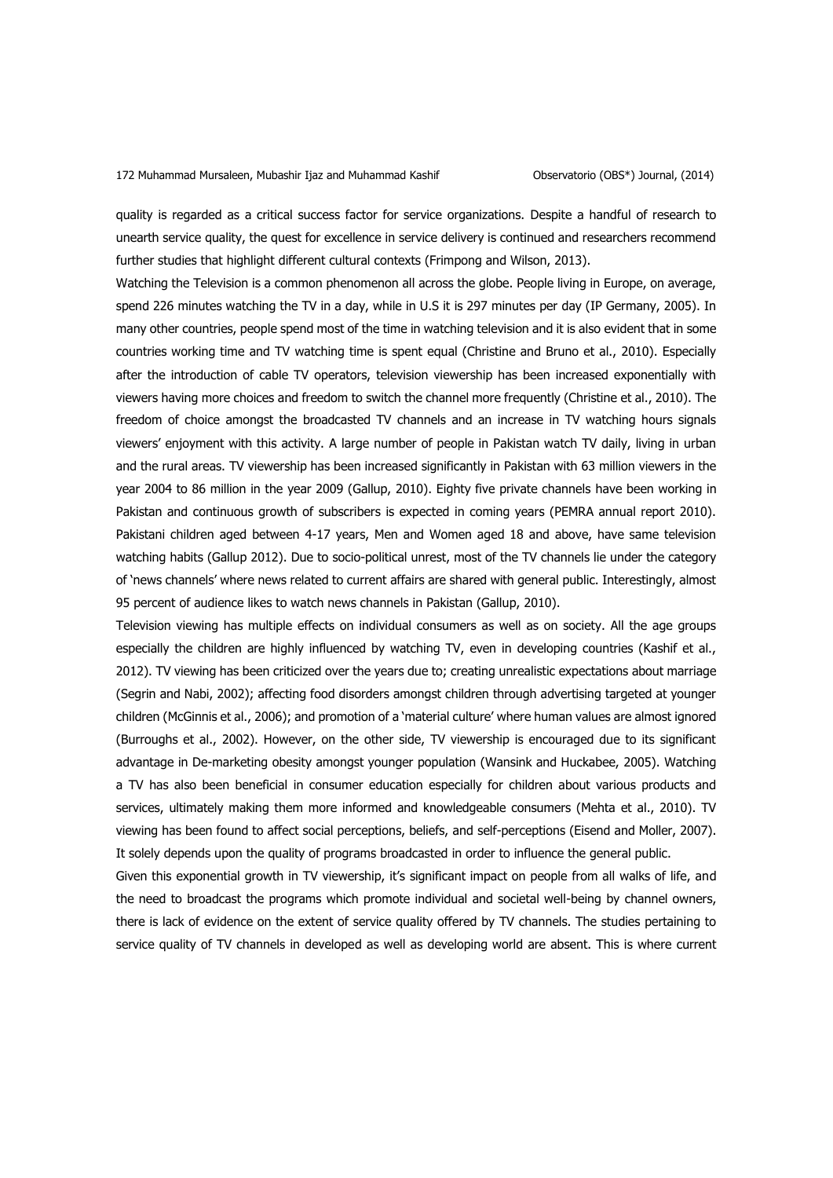quality is regarded as a critical success factor for service organizations. Despite a handful of research to unearth service quality, the quest for excellence in service delivery is continued and researchers recommend further studies that highlight different cultural contexts (Frimpong and Wilson, 2013).

Watching the Television is a common phenomenon all across the globe. People living in Europe, on average, spend 226 minutes watching the TV in a day, while in U.S it is 297 minutes per day (IP Germany, 2005). In many other countries, people spend most of the time in watching television and it is also evident that in some countries working time and TV watching time is spent equal (Christine and Bruno et al., 2010). Especially after the introduction of cable TV operators, television viewership has been increased exponentially with viewers having more choices and freedom to switch the channel more frequently (Christine et al., 2010). The freedom of choice amongst the broadcasted TV channels and an increase in TV watching hours signals viewers' enjoyment with this activity. A large number of people in Pakistan watch TV daily, living in urban and the rural areas. TV viewership has been increased significantly in Pakistan with 63 million viewers in the year 2004 to 86 million in the year 2009 (Gallup, 2010). Eighty five private channels have been working in Pakistan and continuous growth of subscribers is expected in coming years (PEMRA annual report 2010). Pakistani children aged between 4-17 years, Men and Women aged 18 and above, have same television watching habits (Gallup 2012). Due to socio-political unrest, most of the TV channels lie under the category of 'news channels' where news related to current affairs are shared with general public. Interestingly, almost 95 percent of audience likes to watch news channels in Pakistan (Gallup, 2010).

Television viewing has multiple effects on individual consumers as well as on society. All the age groups especially the children are highly influenced by watching TV, even in developing countries (Kashif et al., 2012). TV viewing has been criticized over the years due to; creating unrealistic expectations about marriage (Segrin and Nabi, 2002); affecting food disorders amongst children through advertising targeted at younger children (McGinnis et al., 2006); and promotion of a 'material culture' where human values are almost ignored (Burroughs et al., 2002). However, on the other side, TV viewership is encouraged due to its significant advantage in De-marketing obesity amongst younger population (Wansink and Huckabee, 2005). Watching a TV has also been beneficial in consumer education especially for children about various products and services, ultimately making them more informed and knowledgeable consumers (Mehta et al., 2010). TV viewing has been found to affect social perceptions, beliefs, and self-perceptions (Eisend and Moller, 2007). It solely depends upon the quality of programs broadcasted in order to influence the general public.

Given this exponential growth in TV viewership, it's significant impact on people from all walks of life, and the need to broadcast the programs which promote individual and societal well-being by channel owners, there is lack of evidence on the extent of service quality offered by TV channels. The studies pertaining to service quality of TV channels in developed as well as developing world are absent. This is where current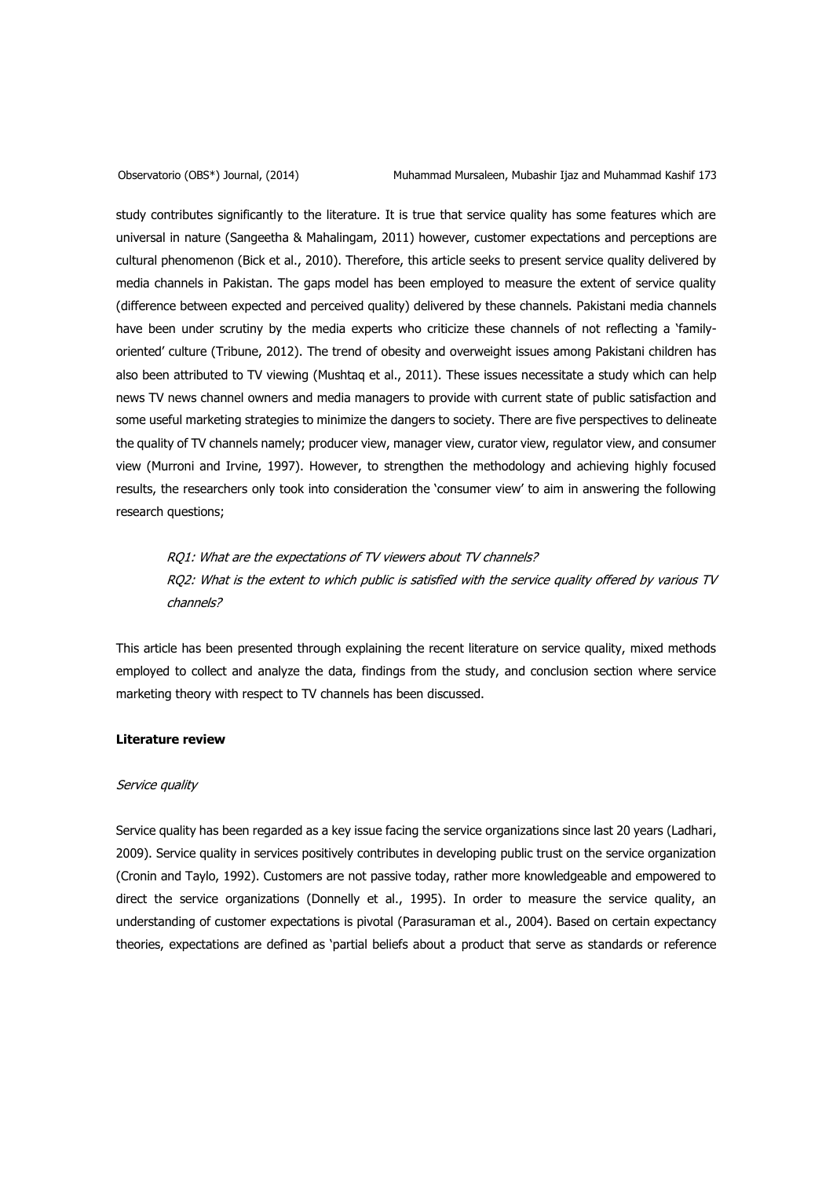study contributes significantly to the literature. It is true that service quality has some features which are universal in nature (Sangeetha & Mahalingam, 2011) however, customer expectations and perceptions are cultural phenomenon (Bick et al., 2010). Therefore, this article seeks to present service quality delivered by media channels in Pakistan. The gaps model has been employed to measure the extent of service quality (difference between expected and perceived quality) delivered by these channels. Pakistani media channels have been under scrutiny by the media experts who criticize these channels of not reflecting a 'familyoriented' culture (Tribune, 2012). The trend of obesity and overweight issues among Pakistani children has also been attributed to TV viewing (Mushtaq et al., 2011). These issues necessitate a study which can help news TV news channel owners and media managers to provide with current state of public satisfaction and some useful marketing strategies to minimize the dangers to society. There are five perspectives to delineate the quality of TV channels namely; producer view, manager view, curator view, regulator view, and consumer view (Murroni and Irvine, 1997). However, to strengthen the methodology and achieving highly focused results, the researchers only took into consideration the 'consumer view' to aim in answering the following research questions;

RQ1: What are the expectations of TV viewers about TV channels? RQ2: What is the extent to which public is satisfied with the service quality offered by various TV channels?

This article has been presented through explaining the recent literature on service quality, mixed methods employed to collect and analyze the data, findings from the study, and conclusion section where service marketing theory with respect to TV channels has been discussed.

## **Literature review**

## Service quality

Service quality has been regarded as a key issue facing the service organizations since last 20 years (Ladhari, 2009). Service quality in services positively contributes in developing public trust on the service organization (Cronin and Taylo, 1992). Customers are not passive today, rather more knowledgeable and empowered to direct the service organizations (Donnelly et al., 1995). In order to measure the service quality, an understanding of customer expectations is pivotal (Parasuraman et al., 2004). Based on certain expectancy theories, expectations are defined as 'partial beliefs about a product that serve as standards or reference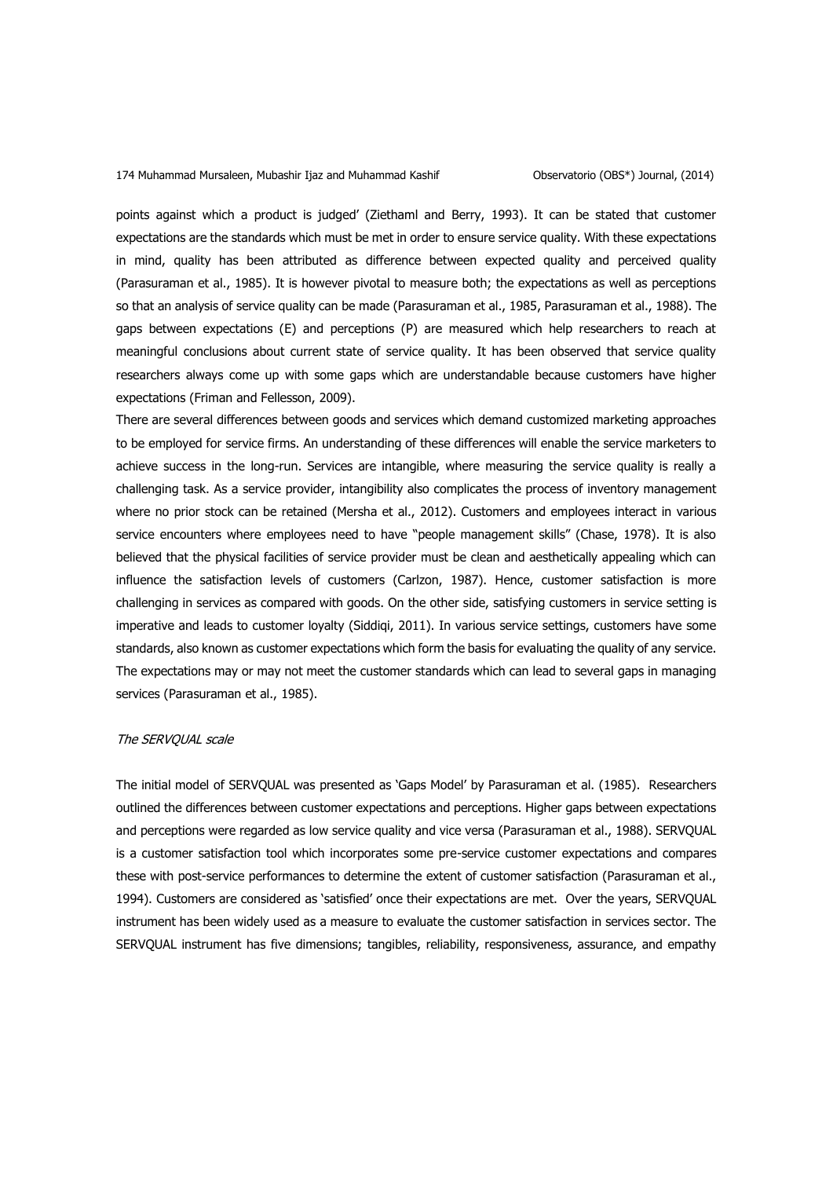points against which a product is judged' (Ziethaml and Berry, 1993). It can be stated that customer expectations are the standards which must be met in order to ensure service quality. With these expectations in mind, quality has been attributed as difference between expected quality and perceived quality (Parasuraman et al., 1985). It is however pivotal to measure both; the expectations as well as perceptions so that an analysis of service quality can be made (Parasuraman et al., 1985, Parasuraman et al., 1988). The gaps between expectations (E) and perceptions (P) are measured which help researchers to reach at meaningful conclusions about current state of service quality. It has been observed that service quality researchers always come up with some gaps which are understandable because customers have higher expectations (Friman and Fellesson, 2009).

There are several differences between goods and services which demand customized marketing approaches to be employed for service firms. An understanding of these differences will enable the service marketers to achieve success in the long-run. Services are intangible, where measuring the service quality is really a challenging task. As a service provider, intangibility also complicates the process of inventory management where no prior stock can be retained (Mersha et al., 2012). Customers and employees interact in various service encounters where employees need to have "people management skills" (Chase, 1978). It is also believed that the physical facilities of service provider must be clean and aesthetically appealing which can influence the satisfaction levels of customers (Carlzon, 1987). Hence, customer satisfaction is more challenging in services as compared with goods. On the other side, satisfying customers in service setting is imperative and leads to customer loyalty (Siddiqi, 2011). In various service settings, customers have some standards, also known as customer expectations which form the basis for evaluating the quality of any service. The expectations may or may not meet the customer standards which can lead to several gaps in managing services (Parasuraman et al., 1985).

## The SERVQUAL scale

The initial model of SERVQUAL was presented as 'Gaps Model' by Parasuraman et al. (1985). Researchers outlined the differences between customer expectations and perceptions. Higher gaps between expectations and perceptions were regarded as low service quality and vice versa (Parasuraman et al., 1988). SERVQUAL is a customer satisfaction tool which incorporates some pre-service customer expectations and compares these with post-service performances to determine the extent of customer satisfaction (Parasuraman et al., 1994). Customers are considered as 'satisfied' once their expectations are met. Over the years, SERVQUAL instrument has been widely used as a measure to evaluate the customer satisfaction in services sector. The SERVQUAL instrument has five dimensions; tangibles, reliability, responsiveness, assurance, and empathy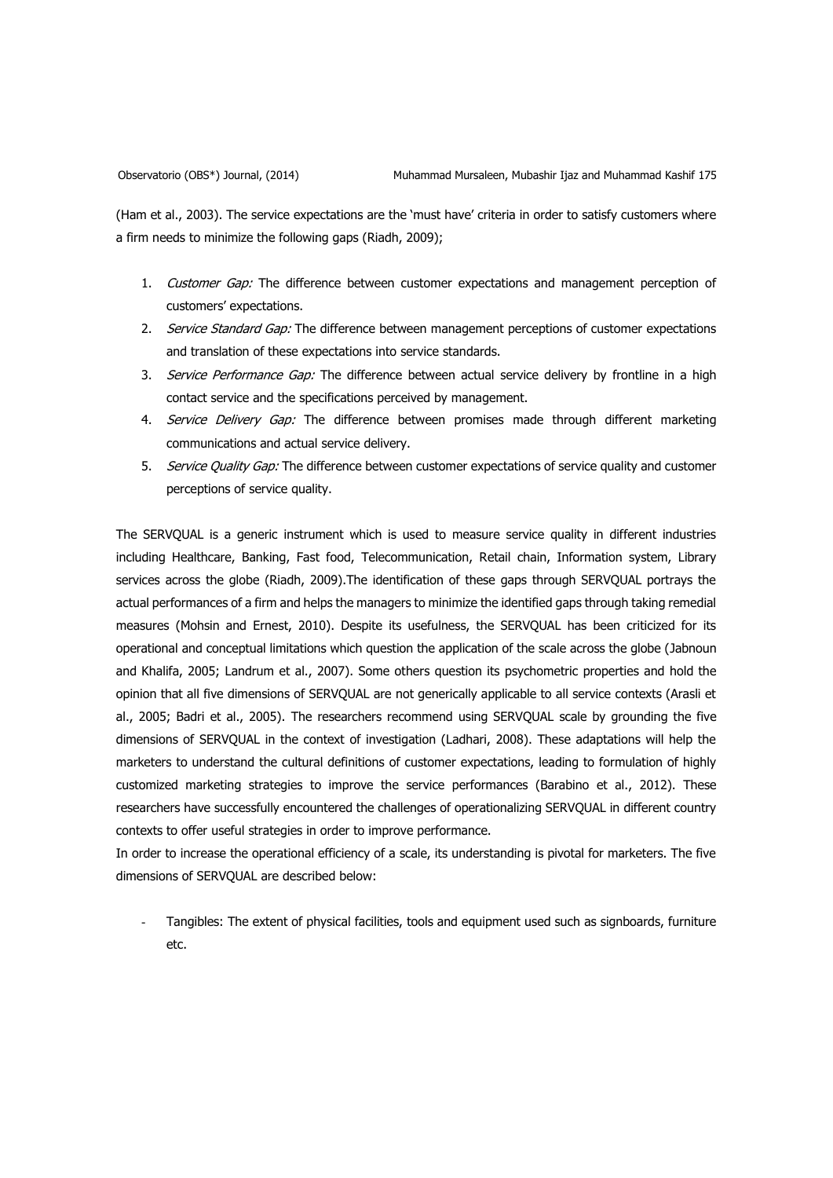(Ham et al., 2003). The service expectations are the 'must have' criteria in order to satisfy customers where a firm needs to minimize the following gaps (Riadh, 2009);

- 1. Customer Gap: The difference between customer expectations and management perception of customers' expectations.
- 2. Service Standard Gap: The difference between management perceptions of customer expectations and translation of these expectations into service standards.
- 3. Service Performance Gap: The difference between actual service delivery by frontline in a high contact service and the specifications perceived by management.
- 4. Service Delivery Gap: The difference between promises made through different marketing communications and actual service delivery.
- 5. Service Quality Gap: The difference between customer expectations of service quality and customer perceptions of service quality.

The SERVQUAL is a generic instrument which is used to measure service quality in different industries including Healthcare, Banking, Fast food, Telecommunication, Retail chain, Information system, Library services across the globe (Riadh, 2009).The identification of these gaps through SERVQUAL portrays the actual performances of a firm and helps the managers to minimize the identified gaps through taking remedial measures (Mohsin and Ernest, 2010). Despite its usefulness, the SERVQUAL has been criticized for its operational and conceptual limitations which question the application of the scale across the globe (Jabnoun and Khalifa, 2005; Landrum et al., 2007). Some others question its psychometric properties and hold the opinion that all five dimensions of SERVQUAL are not generically applicable to all service contexts (Arasli et al., 2005; Badri et al., 2005). The researchers recommend using SERVQUAL scale by grounding the five dimensions of SERVQUAL in the context of investigation (Ladhari, 2008). These adaptations will help the marketers to understand the cultural definitions of customer expectations, leading to formulation of highly customized marketing strategies to improve the service performances (Barabino et al., 2012). These researchers have successfully encountered the challenges of operationalizing SERVQUAL in different country contexts to offer useful strategies in order to improve performance.

In order to increase the operational efficiency of a scale, its understanding is pivotal for marketers. The five dimensions of SERVQUAL are described below:

Tangibles: The extent of physical facilities, tools and equipment used such as signboards, furniture etc.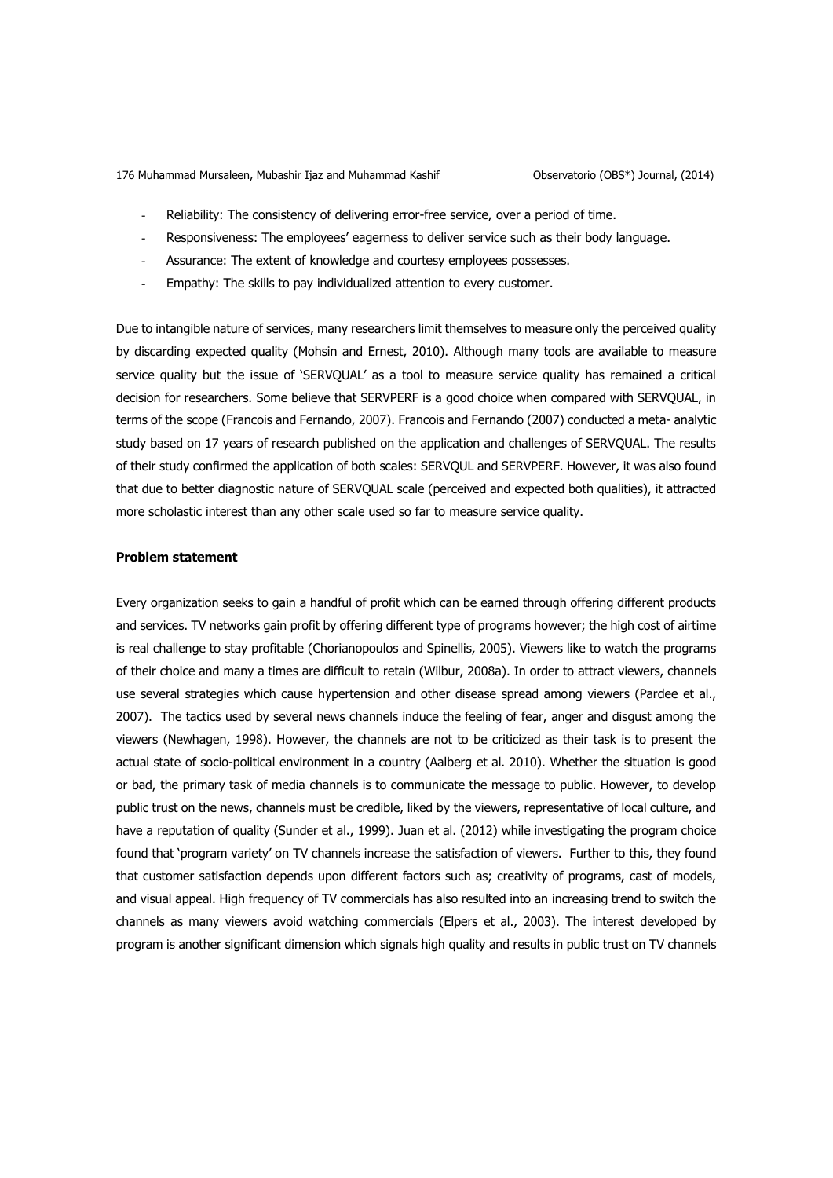- Reliability: The consistency of delivering error-free service, over a period of time.
- Responsiveness: The employees' eagerness to deliver service such as their body language.
- Assurance: The extent of knowledge and courtesy employees possesses.
- Empathy: The skills to pay individualized attention to every customer.

Due to intangible nature of services, many researchers limit themselves to measure only the perceived quality by discarding expected quality (Mohsin and Ernest, 2010). Although many tools are available to measure service quality but the issue of 'SERVQUAL' as a tool to measure service quality has remained a critical decision for researchers. Some believe that SERVPERF is a good choice when compared with SERVQUAL, in terms of the scope (Francois and Fernando, 2007). Francois and Fernando (2007) conducted a meta- analytic study based on 17 years of research published on the application and challenges of SERVQUAL. The results of their study confirmed the application of both scales: SERVQUL and SERVPERF. However, it was also found that due to better diagnostic nature of SERVQUAL scale (perceived and expected both qualities), it attracted more scholastic interest than any other scale used so far to measure service quality.

## **Problem statement**

Every organization seeks to gain a handful of profit which can be earned through offering different products and services. TV networks gain profit by offering different type of programs however; the high cost of airtime is real challenge to stay profitable (Chorianopoulos and Spinellis, 2005). Viewers like to watch the programs of their choice and many a times are difficult to retain (Wilbur, 2008a). In order to attract viewers, channels use several strategies which cause hypertension and other disease spread among viewers (Pardee et al., 2007). The tactics used by several news channels induce the feeling of fear, anger and disgust among the viewers (Newhagen, 1998). However, the channels are not to be criticized as their task is to present the actual state of socio-political environment in a country (Aalberg et al. 2010). Whether the situation is good or bad, the primary task of media channels is to communicate the message to public. However, to develop public trust on the news, channels must be credible, liked by the viewers, representative of local culture, and have a reputation of quality (Sunder et al., 1999). Juan et al. (2012) while investigating the program choice found that 'program variety' on TV channels increase the satisfaction of viewers. Further to this, they found that customer satisfaction depends upon different factors such as; creativity of programs, cast of models, and visual appeal. High frequency of TV commercials has also resulted into an increasing trend to switch the channels as many viewers avoid watching commercials (Elpers et al., 2003). The interest developed by program is another significant dimension which signals high quality and results in public trust on TV channels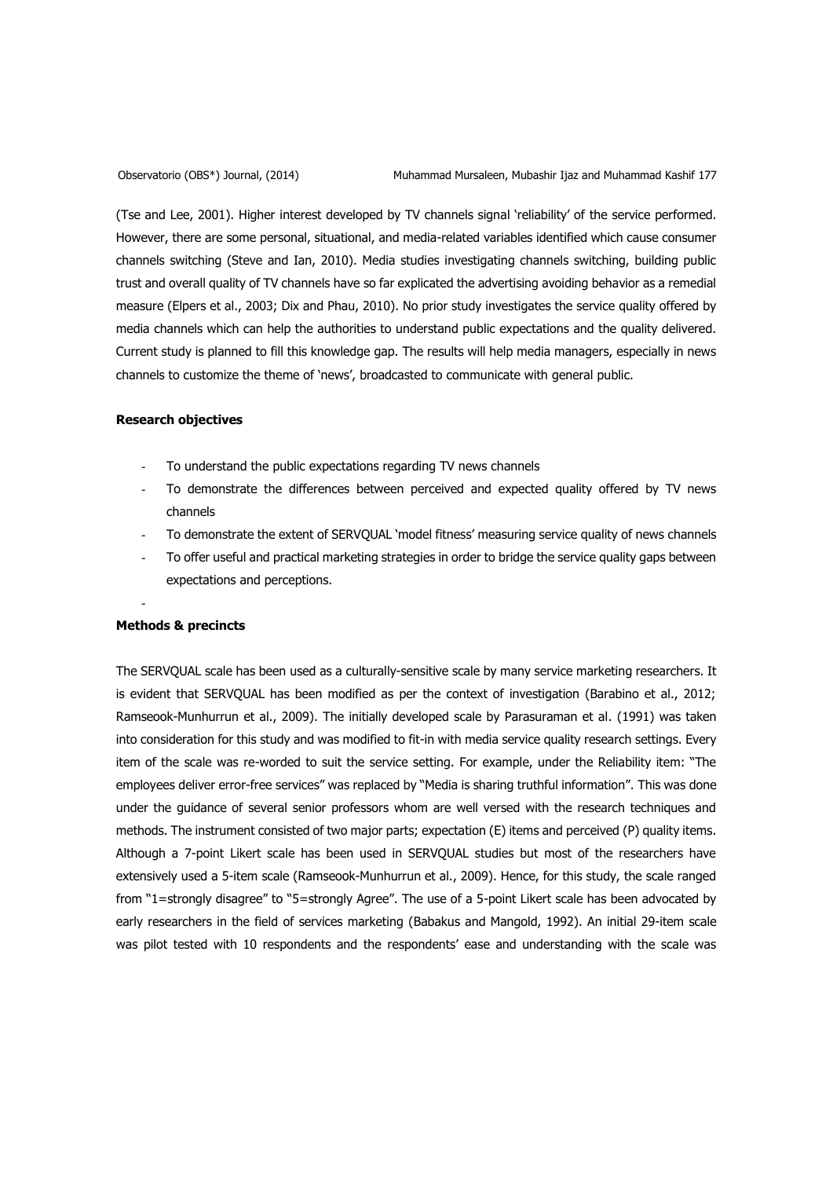(Tse and Lee, 2001). Higher interest developed by TV channels signal 'reliability' of the service performed. However, there are some personal, situational, and media-related variables identified which cause consumer channels switching (Steve and Ian, 2010). Media studies investigating channels switching, building public trust and overall quality of TV channels have so far explicated the advertising avoiding behavior as a remedial measure (Elpers et al., 2003; Dix and Phau, 2010). No prior study investigates the service quality offered by media channels which can help the authorities to understand public expectations and the quality delivered. Current study is planned to fill this knowledge gap. The results will help media managers, especially in news channels to customize the theme of 'news', broadcasted to communicate with general public.

## **Research objectives**

- To understand the public expectations regarding TV news channels
- To demonstrate the differences between perceived and expected quality offered by TV news channels
- To demonstrate the extent of SERVQUAL 'model fitness' measuring service quality of news channels
- To offer useful and practical marketing strategies in order to bridge the service quality gaps between expectations and perceptions.

### -

## **Methods & precincts**

The SERVQUAL scale has been used as a culturally-sensitive scale by many service marketing researchers. It is evident that SERVQUAL has been modified as per the context of investigation (Barabino et al., 2012; Ramseook-Munhurrun et al., 2009). The initially developed scale by Parasuraman et al. (1991) was taken into consideration for this study and was modified to fit-in with media service quality research settings. Every item of the scale was re-worded to suit the service setting. For example, under the Reliability item: "The employees deliver error-free services" was replaced by "Media is sharing truthful information". This was done under the guidance of several senior professors whom are well versed with the research techniques and methods. The instrument consisted of two major parts; expectation (E) items and perceived (P) quality items. Although a 7-point Likert scale has been used in SERVQUAL studies but most of the researchers have extensively used a 5-item scale (Ramseook-Munhurrun et al., 2009). Hence, for this study, the scale ranged from "1=strongly disagree" to "5=strongly Agree". The use of a 5-point Likert scale has been advocated by early researchers in the field of services marketing (Babakus and Mangold, 1992). An initial 29-item scale was pilot tested with 10 respondents and the respondents' ease and understanding with the scale was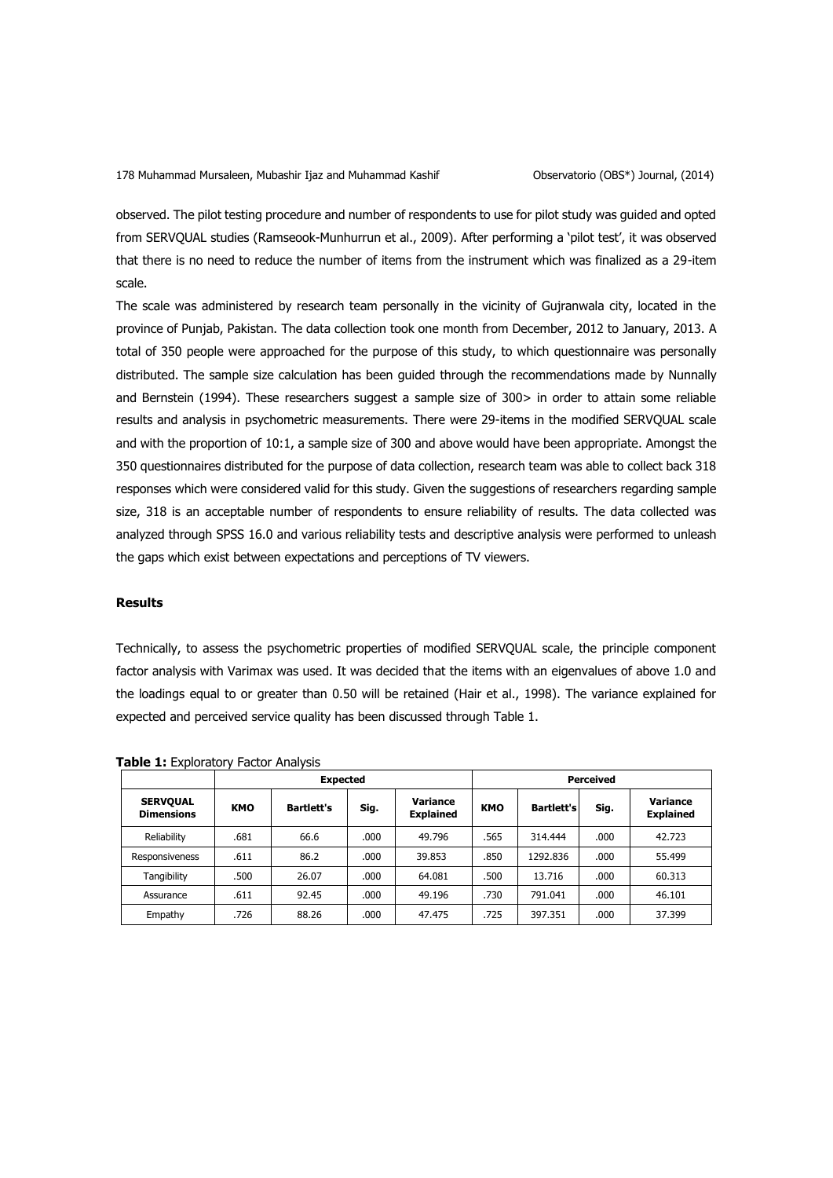observed. The pilot testing procedure and number of respondents to use for pilot study was guided and opted from SERVQUAL studies (Ramseook-Munhurrun et al., 2009). After performing a 'pilot test', it was observed that there is no need to reduce the number of items from the instrument which was finalized as a 29-item scale.

The scale was administered by research team personally in the vicinity of Gujranwala city, located in the province of Punjab, Pakistan. The data collection took one month from December, 2012 to January, 2013. A total of 350 people were approached for the purpose of this study, to which questionnaire was personally distributed. The sample size calculation has been guided through the recommendations made by Nunnally and Bernstein (1994). These researchers suggest a sample size of 300> in order to attain some reliable results and analysis in psychometric measurements. There were 29-items in the modified SERVQUAL scale and with the proportion of 10:1, a sample size of 300 and above would have been appropriate. Amongst the 350 questionnaires distributed for the purpose of data collection, research team was able to collect back 318 responses which were considered valid for this study. Given the suggestions of researchers regarding sample size, 318 is an acceptable number of respondents to ensure reliability of results. The data collected was analyzed through SPSS 16.0 and various reliability tests and descriptive analysis were performed to unleash the gaps which exist between expectations and perceptions of TV viewers.

## **Results**

Technically, to assess the psychometric properties of modified SERVQUAL scale, the principle component factor analysis with Varimax was used. It was decided that the items with an eigenvalues of above 1.0 and the loadings equal to or greater than 0.50 will be retained (Hair et al., 1998). The variance explained for expected and perceived service quality has been discussed through Table 1.

|                                      | <b>Expected</b> |                   |       | Perceived                    |            |                   |      |                                     |
|--------------------------------------|-----------------|-------------------|-------|------------------------------|------------|-------------------|------|-------------------------------------|
| <b>SERVOUAL</b><br><b>Dimensions</b> | <b>KMO</b>      | <b>Bartlett's</b> | Sig.  | Variance<br><b>Explained</b> | <b>KMO</b> | <b>Bartlett's</b> | Sig. | <b>Variance</b><br><b>Explained</b> |
| Reliability                          | .681            | 66.6              | .000  | 49.796                       | .565       | 314.444           | .000 | 42.723                              |
| Responsiveness                       | .611            | 86.2              | .000  | 39.853                       | .850       | 1292.836          | .000 | 55.499                              |
| Tangibility                          | .500            | 26.07             | .000. | 64.081                       | .500       | 13.716            | .000 | 60.313                              |
| Assurance                            | .611            | 92.45             | .000  | 49.196                       | .730       | 791.041           | .000 | 46.101                              |
| Empathy                              | .726            | 88.26             | .000  | 47.475                       | .725       | 397.351           | .000 | 37.399                              |

**Table 1:** Exploratory Factor Analysis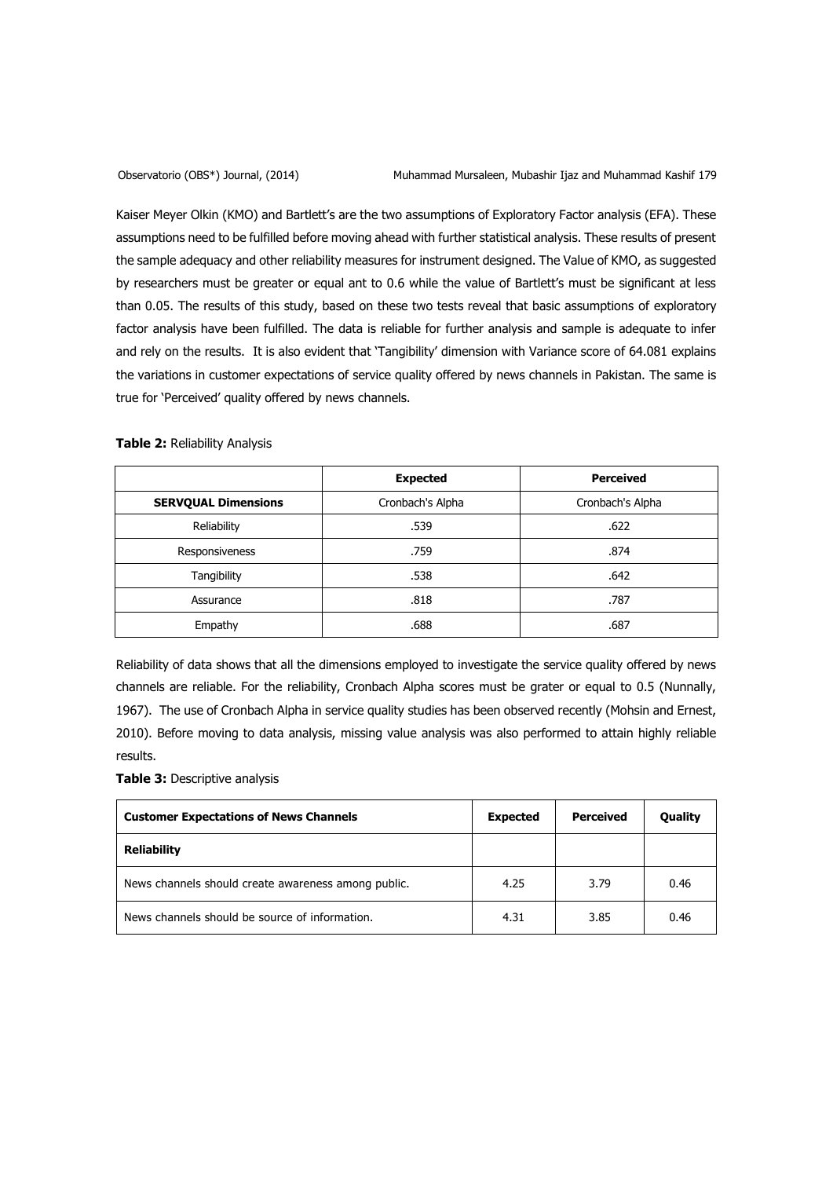Kaiser Meyer Olkin (KMO) and Bartlett's are the two assumptions of Exploratory Factor analysis (EFA). These assumptions need to be fulfilled before moving ahead with further statistical analysis. These results of present the sample adequacy and other reliability measures for instrument designed. The Value of KMO, as suggested by researchers must be greater or equal ant to 0.6 while the value of Bartlett's must be significant at less than 0.05. The results of this study, based on these two tests reveal that basic assumptions of exploratory factor analysis have been fulfilled. The data is reliable for further analysis and sample is adequate to infer and rely on the results. It is also evident that 'Tangibility' dimension with Variance score of 64.081 explains the variations in customer expectations of service quality offered by news channels in Pakistan. The same is true for 'Perceived' quality offered by news channels.

|  |  | Table 2: Reliability Analysis |  |
|--|--|-------------------------------|--|
|--|--|-------------------------------|--|

|                            | <b>Expected</b>  | <b>Perceived</b> |
|----------------------------|------------------|------------------|
| <b>SERVQUAL Dimensions</b> | Cronbach's Alpha | Cronbach's Alpha |
| Reliability                | .539             | .622             |
| Responsiveness             | .759             | .874             |
| <b>Tangibility</b>         | .538             | .642             |
| Assurance                  | .818             | .787             |
| Empathy                    | .688             | .687             |

Reliability of data shows that all the dimensions employed to investigate the service quality offered by news channels are reliable. For the reliability, Cronbach Alpha scores must be grater or equal to 0.5 (Nunnally, 1967). The use of Cronbach Alpha in service quality studies has been observed recently (Mohsin and Ernest, 2010). Before moving to data analysis, missing value analysis was also performed to attain highly reliable results.

**Table 3:** Descriptive analysis

| <b>Customer Expectations of News Channels</b>       | <b>Expected</b> | Perceived | <b>Quality</b> |
|-----------------------------------------------------|-----------------|-----------|----------------|
| <b>Reliability</b>                                  |                 |           |                |
| News channels should create awareness among public. | 4.25            | 3.79      | 0.46           |
| News channels should be source of information.      | 4.31            | 3.85      | 0.46           |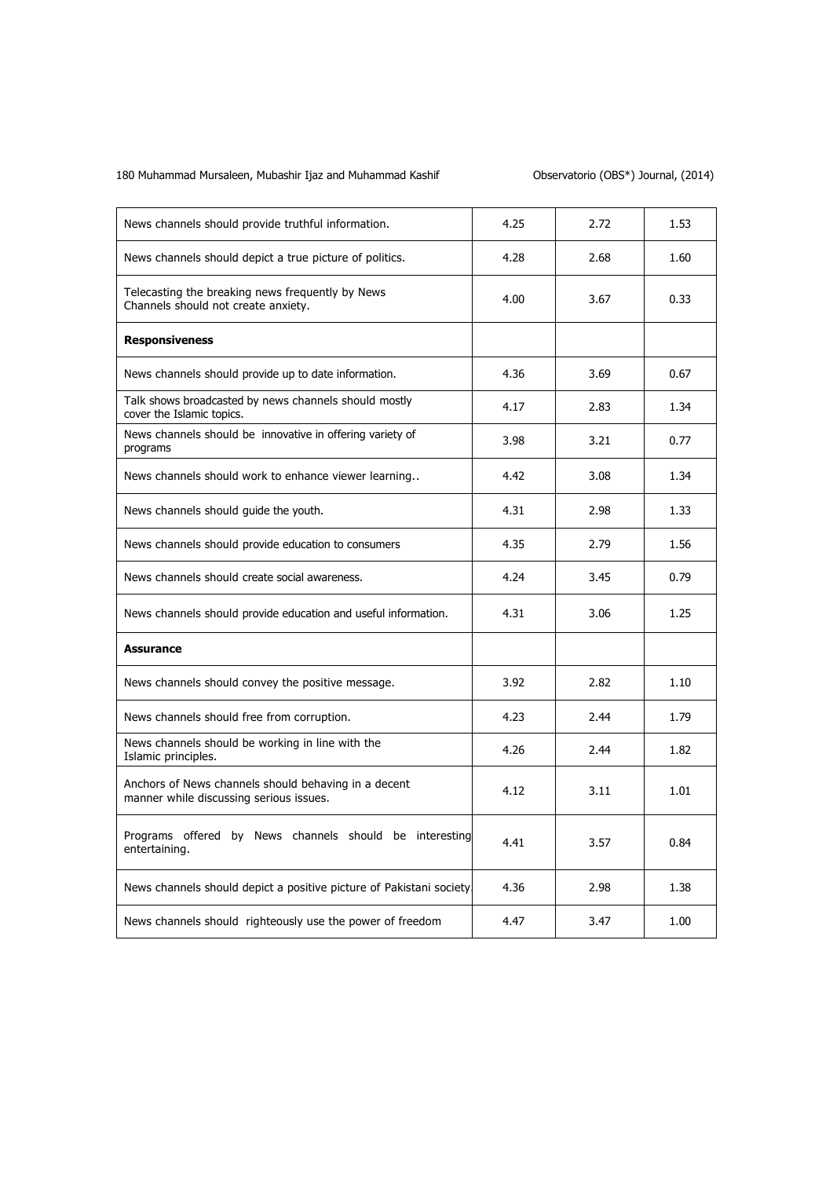| News channels should provide truthful information.                                              | 4.25 | 2.72 | 1.53 |
|-------------------------------------------------------------------------------------------------|------|------|------|
| News channels should depict a true picture of politics.                                         | 4.28 | 2.68 | 1.60 |
| Telecasting the breaking news frequently by News<br>Channels should not create anxiety.         | 4.00 | 3.67 | 0.33 |
| <b>Responsiveness</b>                                                                           |      |      |      |
| News channels should provide up to date information.                                            | 4.36 | 3.69 | 0.67 |
| Talk shows broadcasted by news channels should mostly<br>cover the Islamic topics.              | 4.17 | 2.83 | 1.34 |
| News channels should be innovative in offering variety of<br>programs                           | 3.98 | 3.21 | 0.77 |
| News channels should work to enhance viewer learning                                            | 4.42 | 3.08 | 1.34 |
| News channels should guide the youth.                                                           | 4.31 | 2.98 | 1.33 |
| News channels should provide education to consumers                                             | 4.35 | 2.79 | 1.56 |
| News channels should create social awareness.                                                   | 4.24 | 3.45 | 0.79 |
| News channels should provide education and useful information.                                  | 4.31 | 3.06 | 1.25 |
| Assurance                                                                                       |      |      |      |
| News channels should convey the positive message.                                               | 3.92 | 2.82 | 1.10 |
| News channels should free from corruption.                                                      | 4.23 | 2.44 | 1.79 |
| News channels should be working in line with the<br>Islamic principles.                         | 4.26 | 2.44 | 1.82 |
| Anchors of News channels should behaving in a decent<br>manner while discussing serious issues. | 4.12 | 3.11 | 1.01 |
| Programs offered by News channels should be interesting<br>entertaining.                        | 4.41 | 3.57 | 0.84 |
| News channels should depict a positive picture of Pakistani society                             | 4.36 | 2.98 | 1.38 |
| News channels should righteously use the power of freedom                                       | 4.47 | 3.47 | 1.00 |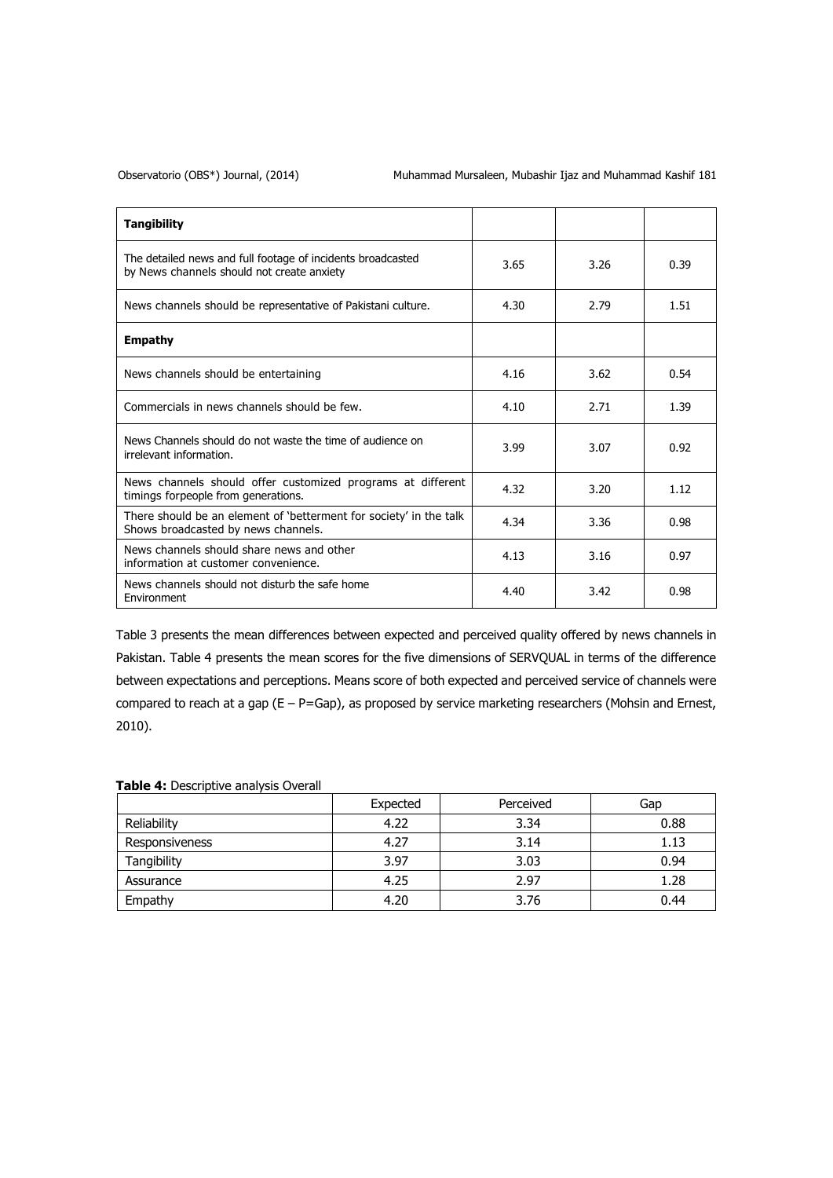## Observatorio (OBS\*) Journal, (2014) Muhammad Mursaleen, Mubashir Ijaz and Muhammad Kashif 181

| <b>Tangibility</b>                                                                                        |      |      |      |
|-----------------------------------------------------------------------------------------------------------|------|------|------|
| The detailed news and full footage of incidents broadcasted<br>by News channels should not create anxiety | 3.65 | 3.26 | 0.39 |
| News channels should be representative of Pakistani culture.                                              | 4.30 | 2.79 | 1.51 |
| <b>Empathy</b>                                                                                            |      |      |      |
| News channels should be entertaining                                                                      | 4.16 | 3.62 | 0.54 |
| Commercials in news channels should be few.                                                               | 4.10 | 2.71 | 1.39 |
| News Channels should do not waste the time of audience on<br>irrelevant information.                      | 3.99 | 3.07 | 0.92 |
| News channels should offer customized programs at different<br>timings forpeople from generations.        | 4.32 | 3.20 | 1.12 |
| There should be an element of 'betterment for society' in the talk<br>Shows broadcasted by news channels. | 4.34 | 3.36 | 0.98 |
| News channels should share news and other<br>information at customer convenience.                         | 4.13 | 3.16 | 0.97 |
| News channels should not disturb the safe home<br>Environment                                             | 4.40 | 3.42 | 0.98 |

Table 3 presents the mean differences between expected and perceived quality offered by news channels in Pakistan. Table 4 presents the mean scores for the five dimensions of SERVQUAL in terms of the difference between expectations and perceptions. Means score of both expected and perceived service of channels were compared to reach at a gap (E – P=Gap), as proposed by service marketing researchers (Mohsin and Ernest, 2010).

|                       | Expected | Perceived | Gap  |
|-----------------------|----------|-----------|------|
| Reliability           | 4.22     | 3.34      | 0.88 |
| <b>Responsiveness</b> | 4.27     | 3.14      | 1.13 |
| Tangibility           | 3.97     | 3.03      | 0.94 |
| Assurance             | 4.25     | 2.97      | 1.28 |
| Empathy               | 4.20     | 3.76      | 0.44 |

## **Table 4:** Descriptive analysis Overall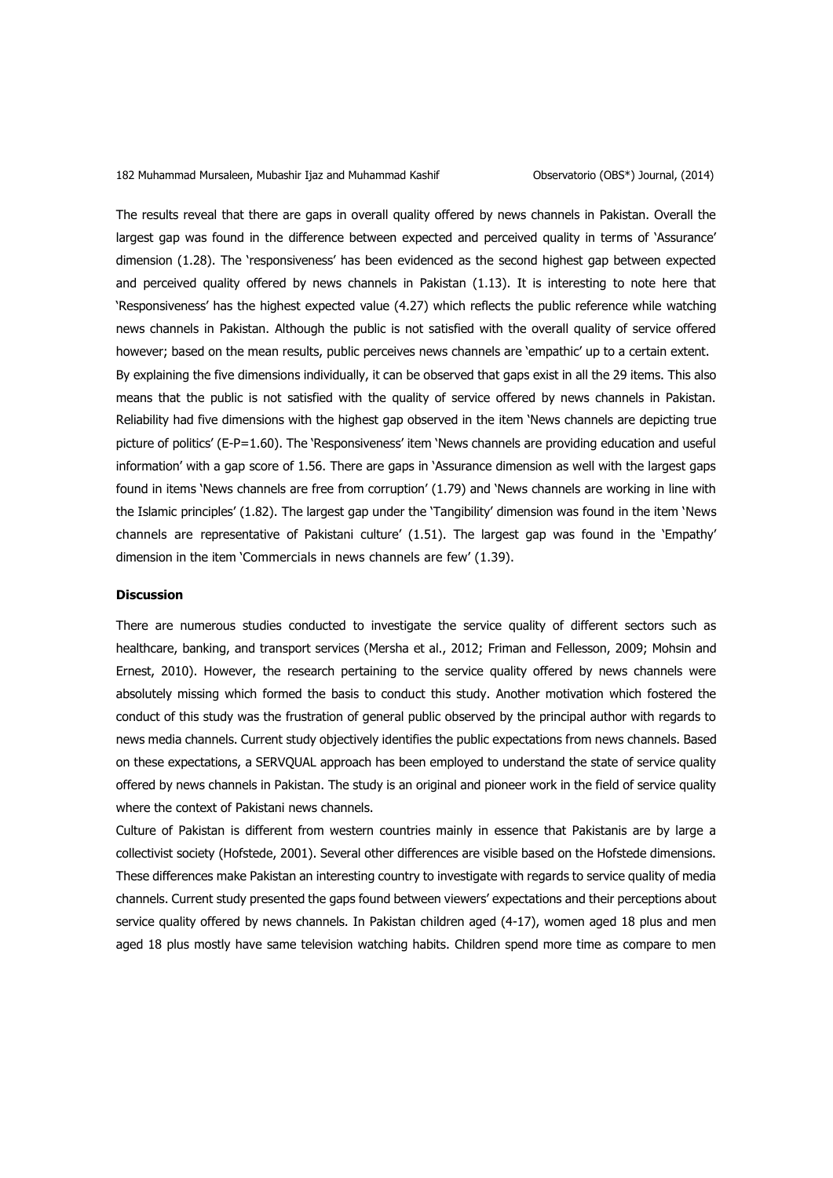The results reveal that there are gaps in overall quality offered by news channels in Pakistan. Overall the largest gap was found in the difference between expected and perceived quality in terms of 'Assurance' dimension (1.28). The 'responsiveness' has been evidenced as the second highest gap between expected and perceived quality offered by news channels in Pakistan (1.13). It is interesting to note here that 'Responsiveness' has the highest expected value (4.27) which reflects the public reference while watching news channels in Pakistan. Although the public is not satisfied with the overall quality of service offered however; based on the mean results, public perceives news channels are 'empathic' up to a certain extent. By explaining the five dimensions individually, it can be observed that gaps exist in all the 29 items. This also means that the public is not satisfied with the quality of service offered by news channels in Pakistan. Reliability had five dimensions with the highest gap observed in the item 'News channels are depicting true picture of politics' (E-P=1.60). The 'Responsiveness' item 'News channels are providing education and useful information' with a gap score of 1.56. There are gaps in 'Assurance dimension as well with the largest gaps found in items 'News channels are free from corruption' (1.79) and 'News channels are working in line with the Islamic principles' (1.82). The largest gap under the 'Tangibility' dimension was found in the item 'News channels are representative of Pakistani culture' (1.51). The largest gap was found in the 'Empathy' dimension in the item 'Commercials in news channels are few' (1.39).

### **Discussion**

There are numerous studies conducted to investigate the service quality of different sectors such as healthcare, banking, and transport services (Mersha et al., 2012; Friman and Fellesson, 2009; Mohsin and Ernest, 2010). However, the research pertaining to the service quality offered by news channels were absolutely missing which formed the basis to conduct this study. Another motivation which fostered the conduct of this study was the frustration of general public observed by the principal author with regards to news media channels. Current study objectively identifies the public expectations from news channels. Based on these expectations, a SERVQUAL approach has been employed to understand the state of service quality offered by news channels in Pakistan. The study is an original and pioneer work in the field of service quality where the context of Pakistani news channels.

Culture of Pakistan is different from western countries mainly in essence that Pakistanis are by large a collectivist society (Hofstede, 2001). Several other differences are visible based on the Hofstede dimensions. These differences make Pakistan an interesting country to investigate with regards to service quality of media channels. Current study presented the gaps found between viewers' expectations and their perceptions about service quality offered by news channels. In Pakistan children aged (4-17), women aged 18 plus and men aged 18 plus mostly have same television watching habits. Children spend more time as compare to men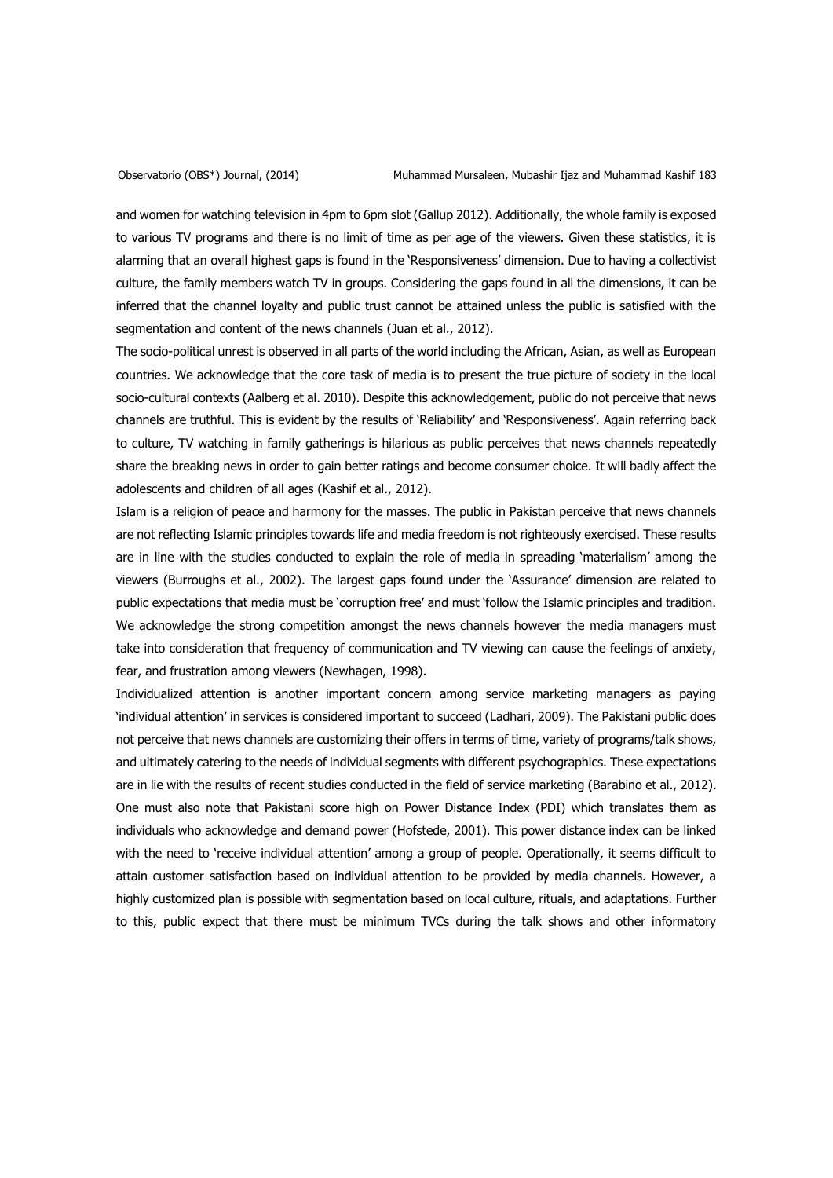and women for watching television in 4pm to 6pm slot (Gallup 2012). Additionally, the whole family is exposed to various TV programs and there is no limit of time as per age of the viewers. Given these statistics, it is alarming that an overall highest gaps is found in the 'Responsiveness' dimension. Due to having a collectivist culture, the family members watch TV in groups. Considering the gaps found in all the dimensions, it can be inferred that the channel loyalty and public trust cannot be attained unless the public is satisfied with the segmentation and content of the news channels (Juan et al., 2012).

The socio-political unrest is observed in all parts of the world including the African, Asian, as well as European countries. We acknowledge that the core task of media is to present the true picture of society in the local socio-cultural contexts (Aalberg et al. 2010). Despite this acknowledgement, public do not perceive that news channels are truthful. This is evident by the results of 'Reliability' and 'Responsiveness'. Again referring back to culture, TV watching in family gatherings is hilarious as public perceives that news channels repeatedly share the breaking news in order to gain better ratings and become consumer choice. It will badly affect the adolescents and children of all ages (Kashif et al., 2012).

Islam is a religion of peace and harmony for the masses. The public in Pakistan perceive that news channels are not reflecting Islamic principles towards life and media freedom is not righteously exercised. These results are in line with the studies conducted to explain the role of media in spreading 'materialism' among the viewers (Burroughs et al., 2002). The largest gaps found under the 'Assurance' dimension are related to public expectations that media must be 'corruption free' and must 'follow the Islamic principles and tradition. We acknowledge the strong competition amongst the news channels however the media managers must take into consideration that frequency of communication and TV viewing can cause the feelings of anxiety, fear, and frustration among viewers (Newhagen, 1998).

Individualized attention is another important concern among service marketing managers as paying 'individual attention' in services is considered important to succeed (Ladhari, 2009). The Pakistani public does not perceive that news channels are customizing their offers in terms of time, variety of programs/talk shows, and ultimately catering to the needs of individual segments with different psychographics. These expectations are in lie with the results of recent studies conducted in the field of service marketing (Barabino et al., 2012). One must also note that Pakistani score high on Power Distance Index (PDI) which translates them as individuals who acknowledge and demand power (Hofstede, 2001). This power distance index can be linked with the need to 'receive individual attention' among a group of people. Operationally, it seems difficult to attain customer satisfaction based on individual attention to be provided by media channels. However, a highly customized plan is possible with segmentation based on local culture, rituals, and adaptations. Further to this, public expect that there must be minimum TVCs during the talk shows and other informatory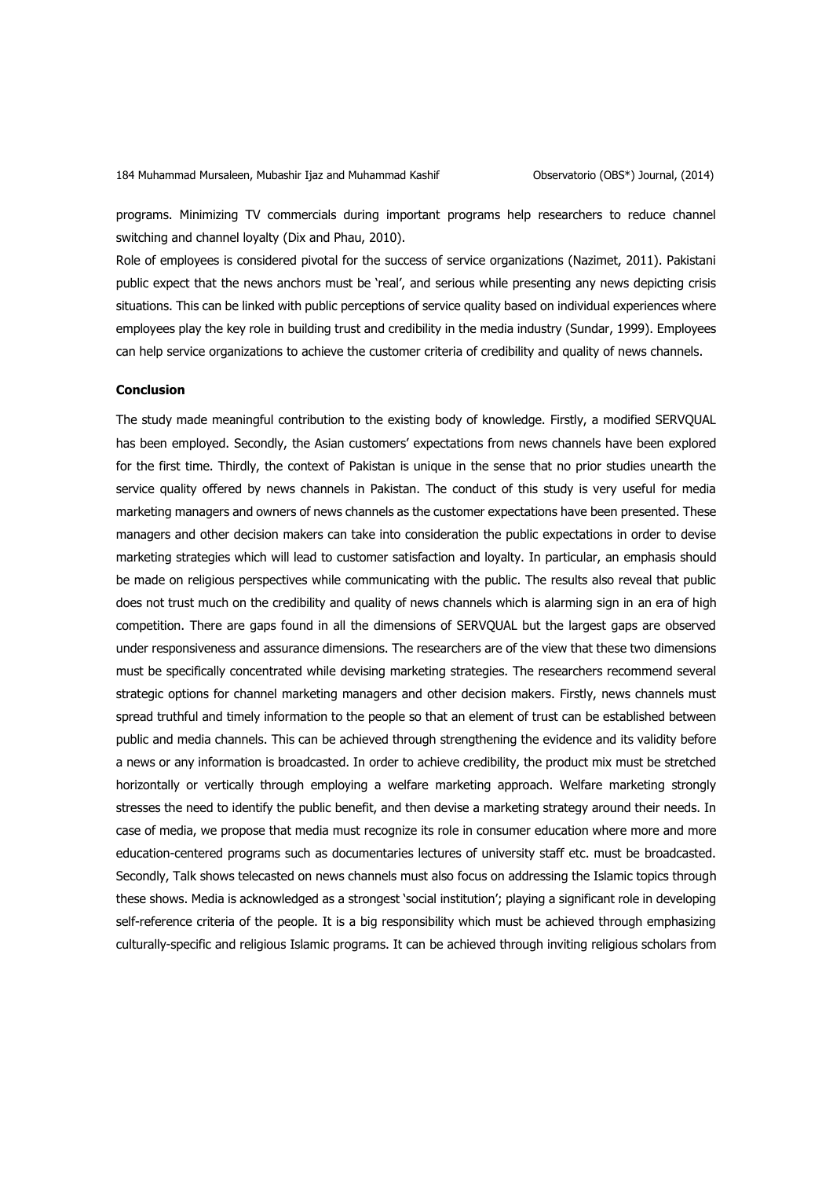programs. Minimizing TV commercials during important programs help researchers to reduce channel switching and channel loyalty (Dix and Phau, 2010).

Role of employees is considered pivotal for the success of service organizations (Nazimet, 2011). Pakistani public expect that the news anchors must be 'real', and serious while presenting any news depicting crisis situations. This can be linked with public perceptions of service quality based on individual experiences where employees play the key role in building trust and credibility in the media industry (Sundar, 1999). Employees can help service organizations to achieve the customer criteria of credibility and quality of news channels.

## **Conclusion**

The study made meaningful contribution to the existing body of knowledge. Firstly, a modified SERVQUAL has been employed. Secondly, the Asian customers' expectations from news channels have been explored for the first time. Thirdly, the context of Pakistan is unique in the sense that no prior studies unearth the service quality offered by news channels in Pakistan. The conduct of this study is very useful for media marketing managers and owners of news channels as the customer expectations have been presented. These managers and other decision makers can take into consideration the public expectations in order to devise marketing strategies which will lead to customer satisfaction and loyalty. In particular, an emphasis should be made on religious perspectives while communicating with the public. The results also reveal that public does not trust much on the credibility and quality of news channels which is alarming sign in an era of high competition. There are gaps found in all the dimensions of SERVQUAL but the largest gaps are observed under responsiveness and assurance dimensions. The researchers are of the view that these two dimensions must be specifically concentrated while devising marketing strategies. The researchers recommend several strategic options for channel marketing managers and other decision makers. Firstly, news channels must spread truthful and timely information to the people so that an element of trust can be established between public and media channels. This can be achieved through strengthening the evidence and its validity before a news or any information is broadcasted. In order to achieve credibility, the product mix must be stretched horizontally or vertically through employing a welfare marketing approach. Welfare marketing strongly stresses the need to identify the public benefit, and then devise a marketing strategy around their needs. In case of media, we propose that media must recognize its role in consumer education where more and more education-centered programs such as documentaries lectures of university staff etc. must be broadcasted. Secondly, Talk shows telecasted on news channels must also focus on addressing the Islamic topics through these shows. Media is acknowledged as a strongest 'social institution'; playing a significant role in developing self-reference criteria of the people. It is a big responsibility which must be achieved through emphasizing culturally-specific and religious Islamic programs. It can be achieved through inviting religious scholars from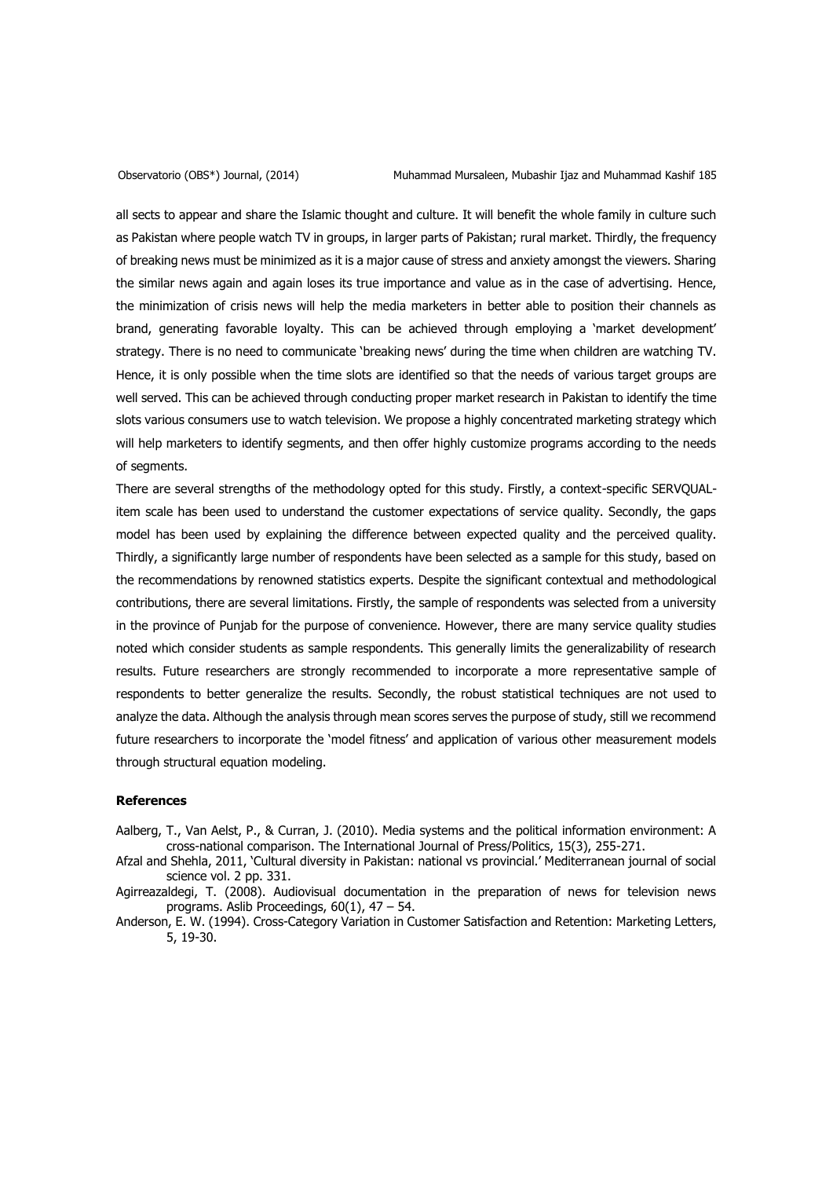all sects to appear and share the Islamic thought and culture. It will benefit the whole family in culture such as Pakistan where people watch TV in groups, in larger parts of Pakistan; rural market. Thirdly, the frequency of breaking news must be minimized as it is a major cause of stress and anxiety amongst the viewers. Sharing the similar news again and again loses its true importance and value as in the case of advertising. Hence, the minimization of crisis news will help the media marketers in better able to position their channels as brand, generating favorable loyalty. This can be achieved through employing a 'market development' strategy. There is no need to communicate 'breaking news' during the time when children are watching TV. Hence, it is only possible when the time slots are identified so that the needs of various target groups are well served. This can be achieved through conducting proper market research in Pakistan to identify the time slots various consumers use to watch television. We propose a highly concentrated marketing strategy which will help marketers to identify segments, and then offer highly customize programs according to the needs of segments.

There are several strengths of the methodology opted for this study. Firstly, a context-specific SERVQUALitem scale has been used to understand the customer expectations of service quality. Secondly, the gaps model has been used by explaining the difference between expected quality and the perceived quality. Thirdly, a significantly large number of respondents have been selected as a sample for this study, based on the recommendations by renowned statistics experts. Despite the significant contextual and methodological contributions, there are several limitations. Firstly, the sample of respondents was selected from a university in the province of Punjab for the purpose of convenience. However, there are many service quality studies noted which consider students as sample respondents. This generally limits the generalizability of research results. Future researchers are strongly recommended to incorporate a more representative sample of respondents to better generalize the results. Secondly, the robust statistical techniques are not used to analyze the data. Although the analysis through mean scores serves the purpose of study, still we recommend future researchers to incorporate the 'model fitness' and application of various other measurement models through structural equation modeling.

### **References**

- Aalberg, T., Van Aelst, P., & Curran, J. (2010). Media systems and the political information environment: A cross-national comparison. The International Journal of Press/Politics, 15(3), 255-271.
- Afzal and Shehla, 2011, 'Cultural diversity in Pakistan: national vs provincial.' Mediterranean journal of social science vol. 2 pp. 331.
- Agirreazaldegi, T. (2008). Audiovisual documentation in the preparation of news for television news programs. Aslib Proceedings,  $60(1)$ ,  $47 - 54$ .
- Anderson, E. W. (1994). Cross-Category Variation in Customer Satisfaction and Retention: Marketing Letters, 5, 19-30.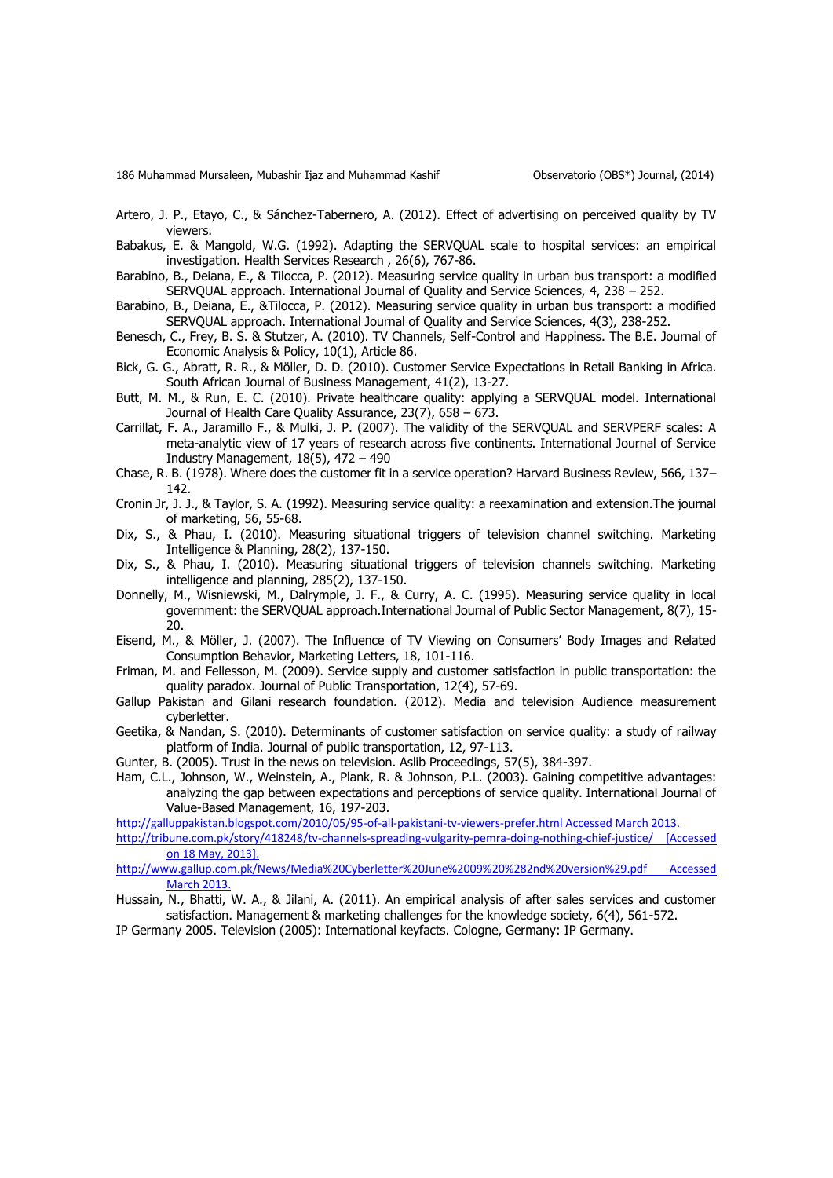- Artero, J. P., Etayo, C., & Sánchez-Tabernero, A. (2012). Effect of advertising on perceived quality by TV viewers.
- Babakus, E. & Mangold, W.G. (1992). Adapting the SERVQUAL scale to hospital services: an empirical investigation. Health Services Research , 26(6), 767-86.
- Barabino, B., Deiana, E., & Tilocca, P. (2012). Measuring service quality in urban bus transport: a modified SERVQUAL approach. International Journal of Quality and Service Sciences, 4, 238 – 252.
- Barabino, B., Deiana, E., &Tilocca, P. (2012). Measuring service quality in urban bus transport: a modified SERVQUAL approach. International Journal of Quality and Service Sciences, 4(3), 238-252.
- Benesch, C., Frey, B. S. & Stutzer, A. (2010). TV Channels, Self-Control and Happiness. The B.E. Journal of Economic Analysis & Policy, 10(1), Article 86.
- Bick, G. G., Abratt, R. R., & Möller, D. D. (2010). Customer Service Expectations in Retail Banking in Africa. South African Journal of Business Management, 41(2), 13-27.
- Butt, M. M., & Run, E. C. (2010). Private healthcare quality: applying a SERVQUAL model. International Journal of Health Care Quality Assurance, 23(7), 658 – 673.
- Carrillat, F. A., Jaramillo F., & Mulki, J. P. (2007). The validity of the SERVQUAL and SERVPERF scales: A meta-analytic view of 17 years of research across five continents. International Journal of Service Industry Management,  $18(5)$ ,  $472 - 490$
- Chase, R. B. (1978). Where does the customer fit in a service operation? Harvard Business Review, 566, 137– 142.
- Cronin Jr, J. J., & Taylor, S. A. (1992). Measuring service quality: a reexamination and extension.The journal of marketing, 56, 55-68.
- Dix, S., & Phau, I. (2010). Measuring situational triggers of television channel switching. Marketing Intelligence & Planning, 28(2), 137-150.
- Dix, S., & Phau, I. (2010). Measuring situational triggers of television channels switching. Marketing intelligence and planning, 285(2), 137-150.
- Donnelly, M., Wisniewski, M., Dalrymple, J. F., & Curry, A. C. (1995). Measuring service quality in local government: the SERVQUAL approach.International Journal of Public Sector Management, 8(7), 15- 20.
- Eisend, M., & Möller, J. (2007). The Influence of TV Viewing on Consumers' Body Images and Related Consumption Behavior, Marketing Letters, 18, 101-116.
- Friman, M. and Fellesson, M. (2009). Service supply and customer satisfaction in public transportation: the quality paradox. Journal of Public Transportation, 12(4), 57-69.
- Gallup Pakistan and Gilani research foundation. (2012). Media and television Audience measurement cyberletter.
- Geetika, & Nandan, S. (2010). Determinants of customer satisfaction on service quality: a study of railway platform of India. Journal of public transportation, 12, 97-113.
- Gunter, B. (2005). Trust in the news on television. Aslib Proceedings, 57(5), 384-397.
- Ham, C.L., Johnson, W., Weinstein, A., Plank, R. & Johnson, P.L. (2003). Gaining competitive advantages: analyzing the gap between expectations and perceptions of service quality. International Journal of Value-Based Management, 16, 197-203.
- [http://galluppakistan.blogspot.com/2010/05/95-of-all-pakistani-tv-viewers-prefer.html Accessed March 2013.](http://galluppakistan.blogspot.com/2010/05/95-of-all-pakistani-tv-viewers-prefer.html)
- [http://tribune.com.pk/story/418248/tv-channels-spreading-vulgarity-pemra-doing-nothing-chief-justice/ \[Accessed](http://tribune.com.pk/story/418248/tv-channels-spreading-vulgarity-pemra-doing-nothing-chief-justice/)  [on 18 May, 2013\].](http://tribune.com.pk/story/418248/tv-channels-spreading-vulgarity-pemra-doing-nothing-chief-justice/)
- [http://www.gallup.com.pk/News/Media%20Cyberletter%20June%2009%20%282nd%20version%29.pdf Accessed](http://www.gallup.com.pk/News/Media%20Cyberletter%20June%2009%20%282nd%20version%29.pdf)  [March 2013.](http://www.gallup.com.pk/News/Media%20Cyberletter%20June%2009%20%282nd%20version%29.pdf)
- Hussain, N., Bhatti, W. A., & Jilani, A. (2011). An empirical analysis of after sales services and customer satisfaction. Management & marketing challenges for the knowledge society, 6(4), 561-572.
- IP Germany 2005. Television (2005): International keyfacts. Cologne, Germany: IP Germany.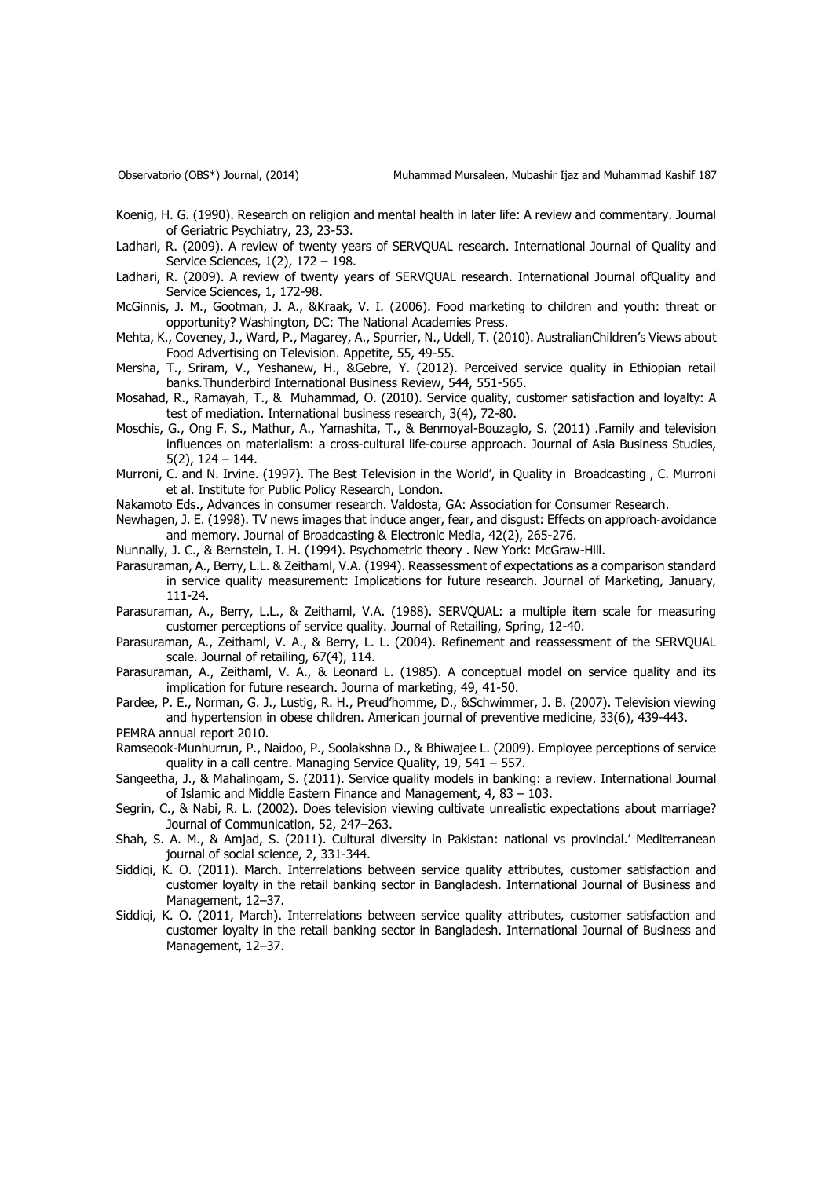- Koenig, H. G. (1990). Research on religion and mental health in later life: A review and commentary. Journal of Geriatric Psychiatry, 23, 23-53.
- Ladhari, R. (2009). A review of twenty years of SERVQUAL research. International Journal of Quality and Service Sciences, 1(2), 172 – 198.
- Ladhari, R. (2009). A review of twenty years of SERVQUAL research. International Journal ofQuality and Service Sciences, 1, 172-98.
- McGinnis, J. M., Gootman, J. A., &Kraak, V. I. (2006). Food marketing to children and youth: threat or opportunity? Washington, DC: The National Academies Press.
- Mehta, K., Coveney, J., Ward, P., Magarey, A., Spurrier, N., Udell, T. (2010). AustralianChildren's Views about Food Advertising on Television. Appetite, 55, 49-55.
- Mersha, T., Sriram, V., Yeshanew, H., &Gebre, Y. (2012). Perceived service quality in Ethiopian retail banks.Thunderbird International Business Review, 544, 551-565.
- Mosahad, R., Ramayah, T., & Muhammad, O. (2010). Service quality, customer satisfaction and loyalty: A test of mediation. International business research, 3(4), 72-80.
- Moschis, G., Ong F. S., Mathur, A., Yamashita, T., & Benmoyal-Bouzaglo, S. (2011) .Family and television influences on materialism: a cross-cultural life-course approach. Journal of Asia Business Studies, 5(2), 124 – 144.
- Murroni, C. and N. Irvine. (1997). The Best Television in the World', in Quality in Broadcasting , C. Murroni et al. Institute for Public Policy Research, London.
- Nakamoto Eds., Advances in consumer research. Valdosta, GA: Association for Consumer Research.
- Newhagen, J. E. (1998). TV news images that induce anger, fear, and disgust: Effects on approach‐avoidance and memory. Journal of Broadcasting & Electronic Media, 42(2), 265-276.
- Nunnally, J. C., & Bernstein, I. H. (1994). Psychometric theory . New York: McGraw-Hill.
- Parasuraman, A., Berry, L.L. & Zeithaml, V.A. (1994). Reassessment of expectations as a comparison standard in service quality measurement: Implications for future research. Journal of Marketing, January, 111-24.
- Parasuraman, A., Berry, L.L., & Zeithaml, V.A. (1988). SERVQUAL: a multiple item scale for measuring customer perceptions of service quality. Journal of Retailing, Spring, 12-40.
- Parasuraman, A., Zeithaml, V. A., & Berry, L. L. (2004). Refinement and reassessment of the SERVQUAL scale. Journal of retailing, 67(4), 114.
- Parasuraman, A., Zeithaml, V. A., & Leonard L. (1985). A conceptual model on service quality and its implication for future research. Journa of marketing, 49, 41-50.
- Pardee, P. E., Norman, G. J., Lustig, R. H., Preud'homme, D., &Schwimmer, J. B. (2007). Television viewing and hypertension in obese children. American journal of preventive medicine, 33(6), 439-443.
- PEMRA annual report 2010.
- Ramseook-Munhurrun, P., Naidoo, P., Soolakshna D., & Bhiwajee L. (2009). Employee perceptions of service quality in a call centre. Managing Service Quality, 19, 541 – 557.
- Sangeetha, J., & Mahalingam, S. (2011). Service quality models in banking: a review. International Journal of Islamic and Middle Eastern Finance and Management, 4, 83 – 103.
- Segrin, C., & Nabi, R. L. (2002). Does television viewing cultivate unrealistic expectations about marriage? Journal of Communication, 52, 247–263.
- Shah, S. A. M., & Amjad, S. (2011). Cultural diversity in Pakistan: national vs provincial.' Mediterranean journal of social science, 2, 331-344.
- Siddiqi, K. O. (2011). March. Interrelations between service quality attributes, customer satisfaction and customer loyalty in the retail banking sector in Bangladesh. International Journal of Business and Management, 12–37.
- Siddiqi, K. O. (2011, March). Interrelations between service quality attributes, customer satisfaction and customer loyalty in the retail banking sector in Bangladesh. International Journal of Business and Management, 12–37.